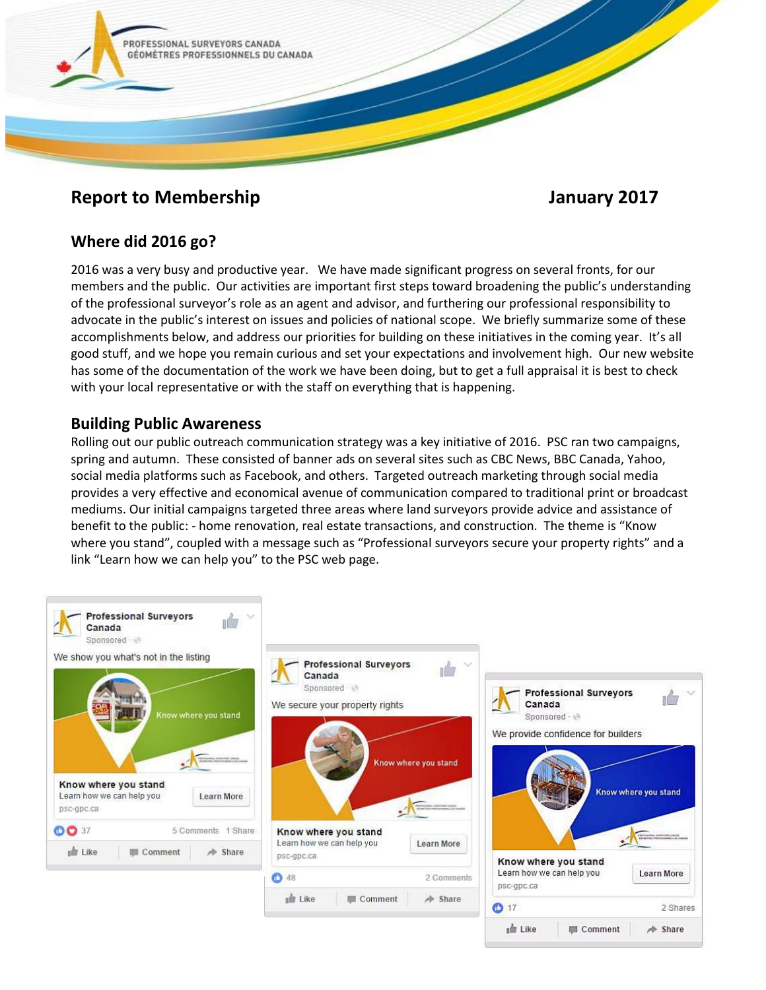

# **Report to Membership Service Service Service Service Service Service Service Service Service Service Service Service Service Service Service Service Service Service Service Service Service Service Service Service Service**

## **Where did 2016 go?**

2016 was a very busy and productive year. We have made significant progress on several fronts, for our members and the public. Our activities are important first steps toward broadening the public's understanding of the professional surveyor's role as an agent and advisor, and furthering our professional responsibility to advocate in the public's interest on issues and policies of national scope. We briefly summarize some of these accomplishments below, and address our priorities for building on these initiatives in the coming year. It's all good stuff, and we hope you remain curious and set your expectations and involvement high. Our new website has some of the documentation of the work we have been doing, but to get a full appraisal it is best to check with your local representative or with the staff on everything that is happening.

## **Building Public Awareness**

Rolling out our public outreach communication strategy was a key initiative of 2016. PSC ran two campaigns, spring and autumn. These consisted of banner ads on several sites such as CBC News, BBC Canada, Yahoo, social media platforms such as Facebook, and others. Targeted outreach marketing through social media provides a very effective and economical avenue of communication compared to traditional print or broadcast mediums. Our initial campaigns targeted three areas where land surveyors provide advice and assistance of benefit to the public: - home renovation, real estate transactions, and construction. The theme is "Know where you stand", coupled with a message such as "Professional surveyors secure your property rights" and a link "Learn how we can help you" to the PSC web page.

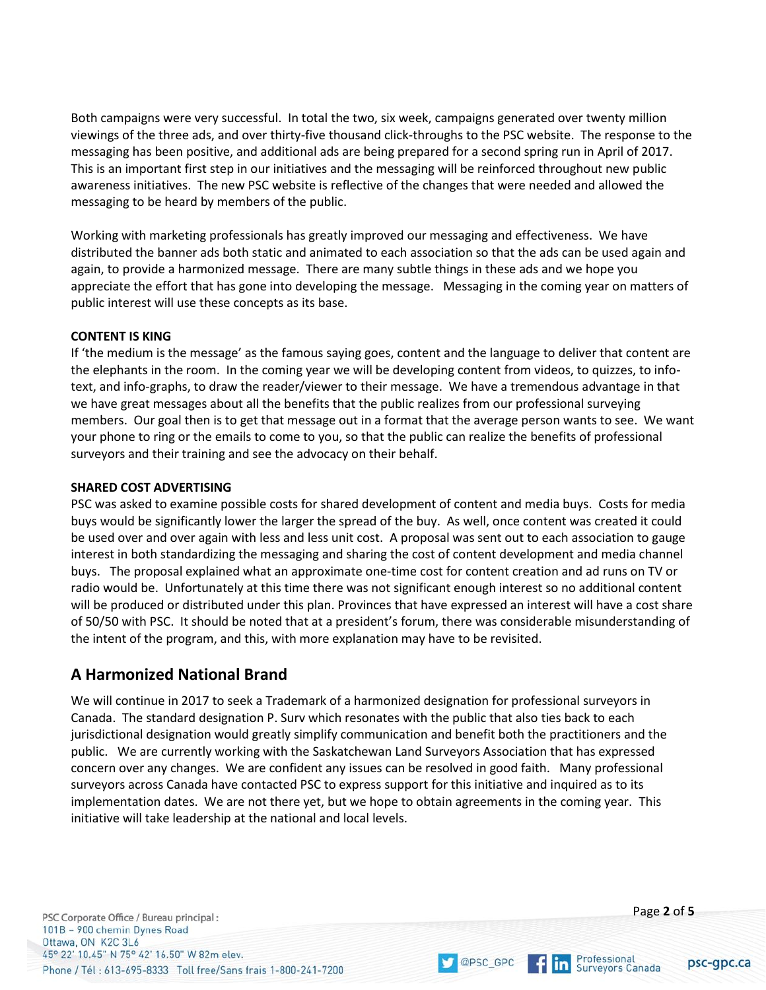Both campaigns were very successful. In total the two, six week, campaigns generated over twenty million viewings of the three ads, and over thirty-five thousand click-throughs to the PSC website. The response to the messaging has been positive, and additional ads are being prepared for a second spring run in April of 2017. This is an important first step in our initiatives and the messaging will be reinforced throughout new public awareness initiatives. The new PSC website is reflective of the changes that were needed and allowed the messaging to be heard by members of the public.

Working with marketing professionals has greatly improved our messaging and effectiveness. We have distributed the banner ads both static and animated to each association so that the ads can be used again and again, to provide a harmonized message. There are many subtle things in these ads and we hope you appreciate the effort that has gone into developing the message. Messaging in the coming year on matters of public interest will use these concepts as its base.

#### **CONTENT IS KING**

If 'the medium is the message' as the famous saying goes, content and the language to deliver that content are the elephants in the room. In the coming year we will be developing content from videos, to quizzes, to infotext, and info-graphs, to draw the reader/viewer to their message. We have a tremendous advantage in that we have great messages about all the benefits that the public realizes from our professional surveying members. Our goal then is to get that message out in a format that the average person wants to see. We want your phone to ring or the emails to come to you, so that the public can realize the benefits of professional surveyors and their training and see the advocacy on their behalf.

#### **SHARED COST ADVERTISING**

PSC was asked to examine possible costs for shared development of content and media buys. Costs for media buys would be significantly lower the larger the spread of the buy. As well, once content was created it could be used over and over again with less and less unit cost. A proposal was sent out to each association to gauge interest in both standardizing the messaging and sharing the cost of content development and media channel buys. The proposal explained what an approximate one-time cost for content creation and ad runs on TV or radio would be. Unfortunately at this time there was not significant enough interest so no additional content will be produced or distributed under this plan. Provinces that have expressed an interest will have a cost share of 50/50 with PSC. It should be noted that at a president's forum, there was considerable misunderstanding of the intent of the program, and this, with more explanation may have to be revisited.

## **A Harmonized National Brand**

We will continue in 2017 to seek a Trademark of a harmonized designation for professional surveyors in Canada. The standard designation P. Surv which resonates with the public that also ties back to each jurisdictional designation would greatly simplify communication and benefit both the practitioners and the public. We are currently working with the Saskatchewan Land Surveyors Association that has expressed concern over any changes. We are confident any issues can be resolved in good faith. Many professional surveyors across Canada have contacted PSC to express support for this initiative and inquired as to its implementation dates. We are not there yet, but we hope to obtain agreements in the coming year. This initiative will take leadership at the national and local levels.

psc-gpc.ca

Professional<br>Surveyors Canada

 $f$  in

OPSC\_GPC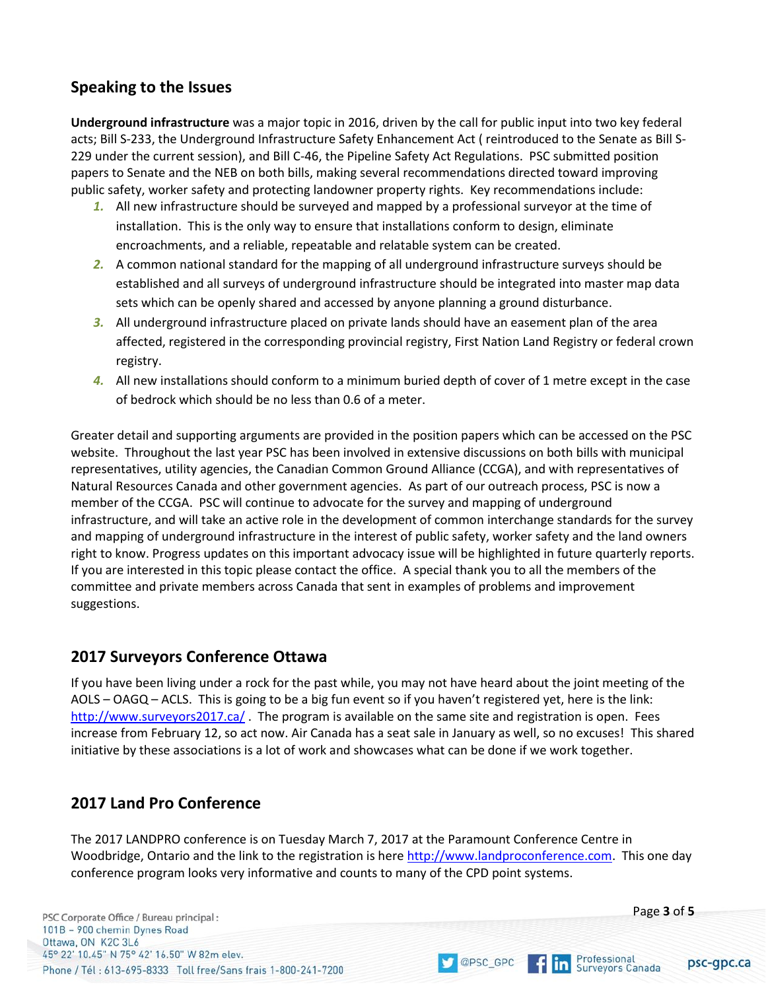# **Speaking to the Issues**

**Underground infrastructure** was a major topic in 2016, driven by the call for public input into two key federal acts; Bill S-233, the Underground Infrastructure Safety Enhancement Act ( reintroduced to the Senate as Bill S-229 under the current session), and Bill C-46, the Pipeline Safety Act Regulations. PSC submitted position papers to Senate and the NEB on both bills, making several recommendations directed toward improving public safety, worker safety and protecting landowner property rights. Key recommendations include:

- *1.* All new infrastructure should be surveyed and mapped by a professional surveyor at the time of installation. This is the only way to ensure that installations conform to design, eliminate encroachments, and a reliable, repeatable and relatable system can be created.
- 2. A common national standard for the mapping of all underground infrastructure surveys should be established and all surveys of underground infrastructure should be integrated into master map data sets which can be openly shared and accessed by anyone planning a ground disturbance.
- *3.* All underground infrastructure placed on private lands should have an easement plan of the area affected, registered in the corresponding provincial registry, First Nation Land Registry or federal crown registry.
- *4.* All new installations should conform to a minimum buried depth of cover of 1 metre except in the case of bedrock which should be no less than 0.6 of a meter.

Greater detail and supporting arguments are provided in the position papers which can be accessed on the PSC website. Throughout the last year PSC has been involved in extensive discussions on both bills with municipal representatives, utility agencies, the Canadian Common Ground Alliance (CCGA), and with representatives of Natural Resources Canada and other government agencies. As part of our outreach process, PSC is now a member of the CCGA. PSC will continue to advocate for the survey and mapping of underground infrastructure, and will take an active role in the development of common interchange standards for the survey and mapping of underground infrastructure in the interest of public safety, worker safety and the land owners right to know. Progress updates on this important advocacy issue will be highlighted in future quarterly reports. If you are interested in this topic please contact the office. A special thank you to all the members of the committee and private members across Canada that sent in examples of problems and improvement suggestions.

## **2017 Surveyors Conference Ottawa**

If you have been living under a rock for the past while, you may not have heard about the joint meeting of the AOLS – OAGQ – ACLS. This is going to be a big fun event so if you haven't registered yet, here is the link: <http://www.surveyors2017.ca/> . The program is available on the same site and registration is open. Fees increase from February 12, so act now. Air Canada has a seat sale in January as well, so no excuses! This shared initiative by these associations is a lot of work and showcases what can be done if we work together.

# **2017 Land Pro Conference**

The 2017 LANDPRO conference is on Tuesday March 7, 2017 at the Paramount Conference Centre in Woodbridge, Ontario and the link to the registration is her[e http://www.landproconference.com.](http://www.landproconference.com/) This one day conference program looks very informative and counts to many of the CPD point systems.

OPSC\_GPC

PSC Corporate Office / Bureau principal: 101B - 900 chemin Dynes Road Ottawa, ON K2C 3L6 45° 22' 10.45" N 75° 42' 16.50" W 82m elev. Phone / Tél: 613-695-8333 Toll free/Sans frais 1-800-241-7200 Page **3** of **5**

psc-gpc.ca

Professional<br>Surveyors Canada

 $f\ln$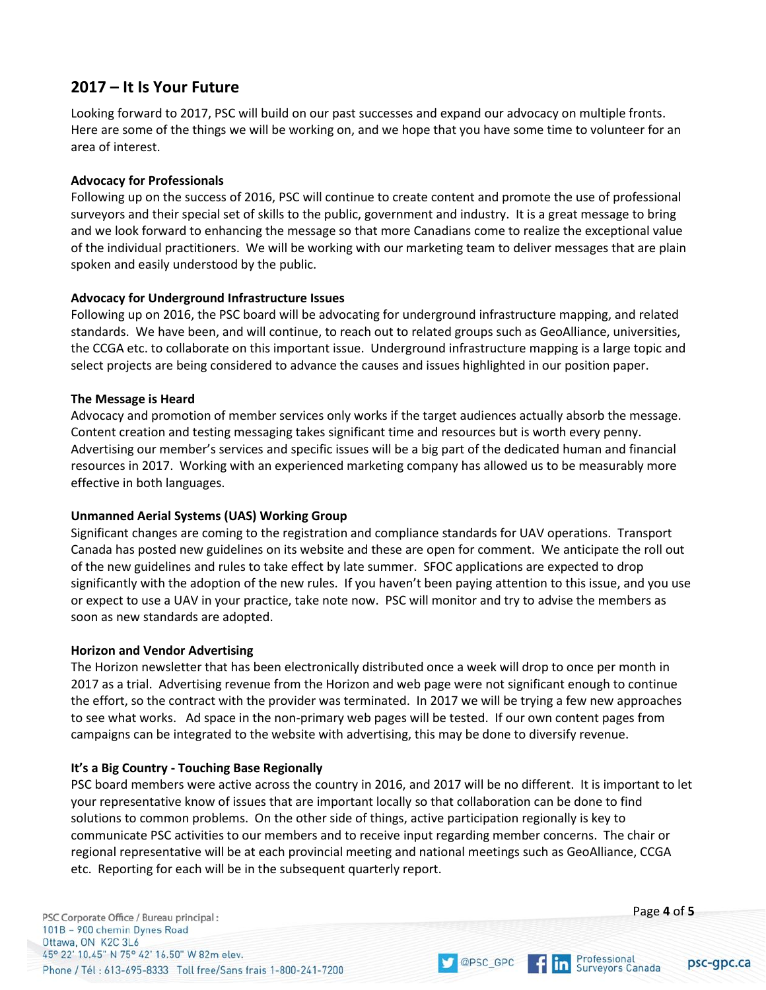## **2017 – It Is Your Future**

Looking forward to 2017, PSC will build on our past successes and expand our advocacy on multiple fronts. Here are some of the things we will be working on, and we hope that you have some time to volunteer for an area of interest.

## **Advocacy for Professionals**

Following up on the success of 2016, PSC will continue to create content and promote the use of professional surveyors and their special set of skills to the public, government and industry. It is a great message to bring and we look forward to enhancing the message so that more Canadians come to realize the exceptional value of the individual practitioners. We will be working with our marketing team to deliver messages that are plain spoken and easily understood by the public.

## **Advocacy for Underground Infrastructure Issues**

Following up on 2016, the PSC board will be advocating for underground infrastructure mapping, and related standards. We have been, and will continue, to reach out to related groups such as GeoAlliance, universities, the CCGA etc. to collaborate on this important issue. Underground infrastructure mapping is a large topic and select projects are being considered to advance the causes and issues highlighted in our position paper.

## **The Message is Heard**

Advocacy and promotion of member services only works if the target audiences actually absorb the message. Content creation and testing messaging takes significant time and resources but is worth every penny. Advertising our member's services and specific issues will be a big part of the dedicated human and financial resources in 2017. Working with an experienced marketing company has allowed us to be measurably more effective in both languages.

## **Unmanned Aerial Systems (UAS) Working Group**

Significant changes are coming to the registration and compliance standards for UAV operations. Transport Canada has posted new guidelines on its website and these are open for comment. We anticipate the roll out of the new guidelines and rules to take effect by late summer. SFOC applications are expected to drop significantly with the adoption of the new rules. If you haven't been paying attention to this issue, and you use or expect to use a UAV in your practice, take note now. PSC will monitor and try to advise the members as soon as new standards are adopted.

## **Horizon and Vendor Advertising**

The Horizon newsletter that has been electronically distributed once a week will drop to once per month in 2017 as a trial. Advertising revenue from the Horizon and web page were not significant enough to continue the effort, so the contract with the provider was terminated. In 2017 we will be trying a few new approaches to see what works. Ad space in the non-primary web pages will be tested. If our own content pages from campaigns can be integrated to the website with advertising, this may be done to diversify revenue.

## **It's a Big Country - Touching Base Regionally**

PSC board members were active across the country in 2016, and 2017 will be no different. It is important to let your representative know of issues that are important locally so that collaboration can be done to find solutions to common problems. On the other side of things, active participation regionally is key to communicate PSC activities to our members and to receive input regarding member concerns. The chair or regional representative will be at each provincial meeting and national meetings such as GeoAlliance, CCGA etc. Reporting for each will be in the subsequent quarterly report.

OPSC\_GPC

PSC Corporate Office / Bureau principal: 101B - 900 chemin Dynes Road Ottawa, ON K2C 3L6 45° 22' 10.45" N 75° 42' 16.50" W 82m elev. Phone / Tél: 613-695-8333 Toll free/Sans frais 1-800-241-7200



psc-gpc.ca

Professional<br>Surveyors Canada

 $f$  in